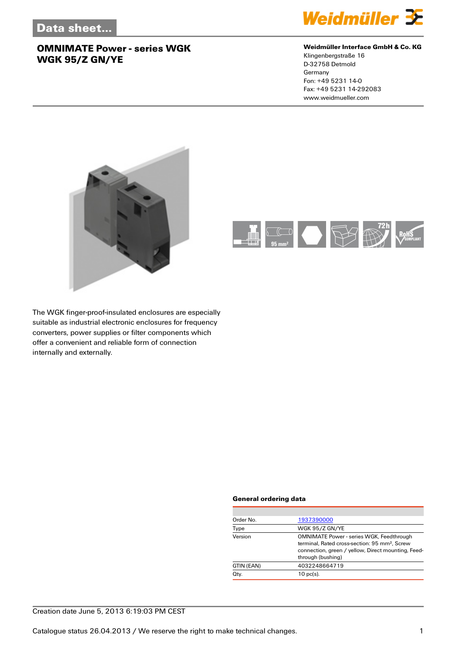

#### **Weidmüller Interface GmbH & Co. KG**

Klingenbergstraße 16 D-32758 Detmold Germany Fon: +49 5231 14-0 Fax: +49 5231 14-292083 www.weidmueller.com





The WGK finger-proof-insulated enclosures are especially suitable as industrial electronic enclosures for frequency converters, power supplies or filter components which offer a convenient and reliable form of connection internally and externally.

#### **General ordering data**

| Order No.  | 1937390000                                                                                                                                                                              |
|------------|-----------------------------------------------------------------------------------------------------------------------------------------------------------------------------------------|
| Type       | WGK 95/Z GN/YE                                                                                                                                                                          |
| Version    | <b>OMNIMATE Power - series WGK, Feedthrough</b><br>terminal, Rated cross-section: 95 mm <sup>2</sup> , Screw<br>connection, green / yellow, Direct mounting, Feed-<br>through (bushing) |
| GTIN (EAN) | 4032248664719                                                                                                                                                                           |
| Qty.       | $10$ pc(s).                                                                                                                                                                             |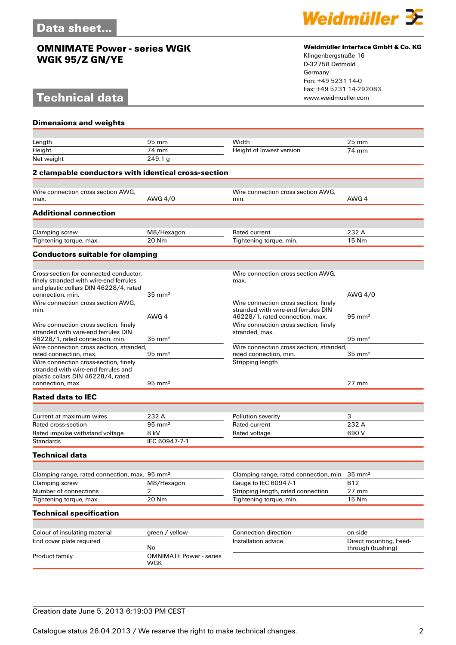# **Technical data**



#### **Weidmüller Interface GmbH & Co. KG**

Klingenbergstraße 16 D-32758 Detmold Germany Fon: +49 5231 14-0 Fax: +49 5231 14-292083

| <b>Dimensions and weights</b>                                                    |                                       |                                                                        |                                             |  |  |
|----------------------------------------------------------------------------------|---------------------------------------|------------------------------------------------------------------------|---------------------------------------------|--|--|
|                                                                                  |                                       |                                                                        |                                             |  |  |
| Length                                                                           | 95 mm                                 | Width                                                                  | $25 \text{ mm}$                             |  |  |
| Height                                                                           | 74 mm                                 | Height of lowest version                                               | 74 mm                                       |  |  |
| Net weight                                                                       | 249.1 g                               |                                                                        |                                             |  |  |
| 2 clampable conductors with identical cross-section                              |                                       |                                                                        |                                             |  |  |
|                                                                                  |                                       |                                                                        |                                             |  |  |
| Wire connection cross section AWG,                                               |                                       | Wire connection cross section AWG,                                     |                                             |  |  |
| max.                                                                             | AWG 4/0                               | min.                                                                   | AWG 4                                       |  |  |
| <b>Additional connection</b>                                                     |                                       |                                                                        |                                             |  |  |
|                                                                                  |                                       |                                                                        |                                             |  |  |
| Clamping screw                                                                   | M8/Hexagon                            | Rated current                                                          | 232 A                                       |  |  |
| Tightening torque, max.                                                          | 20 Nm                                 | Tightening torque, min.                                                | 15 Nm                                       |  |  |
| <b>Conductors suitable for clamping</b>                                          |                                       |                                                                        |                                             |  |  |
|                                                                                  |                                       |                                                                        |                                             |  |  |
| Cross-section for connected conductor.<br>finely stranded with wire-end ferrules |                                       | Wire connection cross section AWG,<br>max.                             |                                             |  |  |
| and plastic collars DIN 46228/4, rated                                           |                                       |                                                                        |                                             |  |  |
| connection, min.                                                                 | $35 \text{ mm}^2$                     |                                                                        | AWG 4/0                                     |  |  |
| Wire connection cross section AWG,                                               |                                       | Wire connection cross section, finely                                  |                                             |  |  |
| min.                                                                             | AWG 4                                 | stranded with wire-end ferrules DIN<br>46228/1, rated connection, max. | $95 \text{ mm}^2$                           |  |  |
| Wire connection cross section, finely                                            |                                       | Wire connection cross section, finely                                  |                                             |  |  |
| stranded with wire-end ferrules DIN                                              |                                       | stranded, max.                                                         |                                             |  |  |
| 46228/1, rated connection, min.                                                  | $35 \text{ mm}^2$                     |                                                                        | $95 \text{ mm}^2$                           |  |  |
| Wire connection cross section, stranded,                                         |                                       | Wire connection cross section, stranded,                               |                                             |  |  |
| rated connection, max.                                                           | $95 \text{ mm}^2$                     | rated connection, min.                                                 | $35 \text{ mm}^2$                           |  |  |
| Wire connection cross-section, finely<br>stranded with wire-end ferrules and     |                                       | Stripping length                                                       |                                             |  |  |
| plastic collars DIN 46228/4, rated                                               |                                       |                                                                        |                                             |  |  |
| connection, max.                                                                 | $95 \text{ mm}^2$                     |                                                                        | $27 \text{ mm}$                             |  |  |
| <b>Rated data to IEC</b>                                                         |                                       |                                                                        |                                             |  |  |
|                                                                                  |                                       |                                                                        |                                             |  |  |
| Current at maximum wires                                                         | 232 A                                 | Pollution severity                                                     | 3                                           |  |  |
| Rated cross-section                                                              | $95 \text{ mm}^2$                     | Rated current                                                          | 232 A                                       |  |  |
| Rated impulse withstand voltage                                                  | 8 kV                                  | Rated voltage                                                          | 690V                                        |  |  |
| <b>Standards</b>                                                                 | IEC 60947-7-1                         |                                                                        |                                             |  |  |
| Technical data                                                                   |                                       |                                                                        |                                             |  |  |
|                                                                                  |                                       |                                                                        |                                             |  |  |
| Clamping range, rated connection, max. 95 mm <sup>2</sup>                        |                                       | Clamping range, rated connection, min.                                 | $35 \text{ mm}^2$                           |  |  |
| Clamping screw                                                                   | M8/Hexagon                            | Gauge to IEC 60947-1                                                   | <b>B12</b>                                  |  |  |
| Number of connections                                                            | 2                                     | Stripping length, rated connection                                     | $27$ mm                                     |  |  |
| Tightening torque, max.                                                          | 20 Nm                                 | Tightening torque, min.                                                | 15 Nm                                       |  |  |
| <b>Technical specification</b>                                                   |                                       |                                                                        |                                             |  |  |
|                                                                                  |                                       |                                                                        |                                             |  |  |
| Colour of insulating material                                                    | green / yellow                        | Connection direction                                                   | on side                                     |  |  |
| End cover plate required                                                         | No                                    | Installation advice                                                    | Direct mounting, Feed-<br>through (bushing) |  |  |
| Product family                                                                   | <b>OMNIMATE Power - series</b><br>WGK |                                                                        |                                             |  |  |

### Creation date June 5, 2013 6:19:03 PM CEST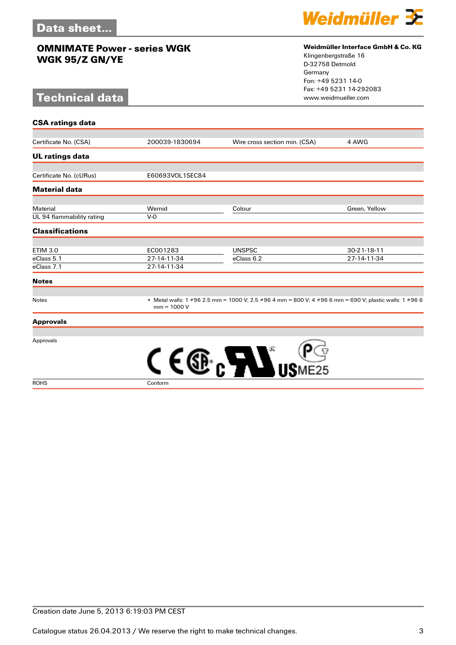# **Technical data**



#### **Weidmüller Interface GmbH & Co. KG**

Klingenbergstraße 16 D-32758 Detmold Germany Fon: +49 5231 14-0 Fax: +49 5231 14-292083

| <b>CSA ratings data</b>   |                 |                                                                                                        |               |
|---------------------------|-----------------|--------------------------------------------------------------------------------------------------------|---------------|
| Certificate No. (CSA)     | 200039-1830694  | Wire cross section min. (CSA)                                                                          | 4 AWG         |
|                           |                 |                                                                                                        |               |
| <b>UL ratings data</b>    |                 |                                                                                                        |               |
|                           |                 |                                                                                                        |               |
| Certificate No. (cURus)   | E60693VOL1SEC84 |                                                                                                        |               |
| <b>Material data</b>      |                 |                                                                                                        |               |
| Material                  | Wemid           | Colour                                                                                                 | Green, Yellow |
| UL 94 flammability rating | $V-0$           |                                                                                                        |               |
| <b>Classifications</b>    |                 |                                                                                                        |               |
| <b>ETIM 3.0</b>           | EC001283        | <b>UNSPSC</b>                                                                                          | 30-21-18-11   |
| eClass 5.1                | 27-14-11-34     | eClass 6.2                                                                                             | 27-14-11-34   |
| eClass 7.1                | 27-14-11-34     |                                                                                                        |               |
| <b>Notes</b>              |                 |                                                                                                        |               |
| Notes                     | $mm = 1000 V$   | • Metal walls: 1 #96 2.5 mm = 1000 V; 2.5 #96 4 mm = 800 V; 4 #96 6 mm = 690 V; plastic walls: 1 #96 6 |               |
| <b>Approvals</b>          |                 |                                                                                                        |               |
|                           |                 |                                                                                                        |               |
|                           |                 |                                                                                                        |               |
| Approvals                 |                 |                                                                                                        |               |

ROHS Conform